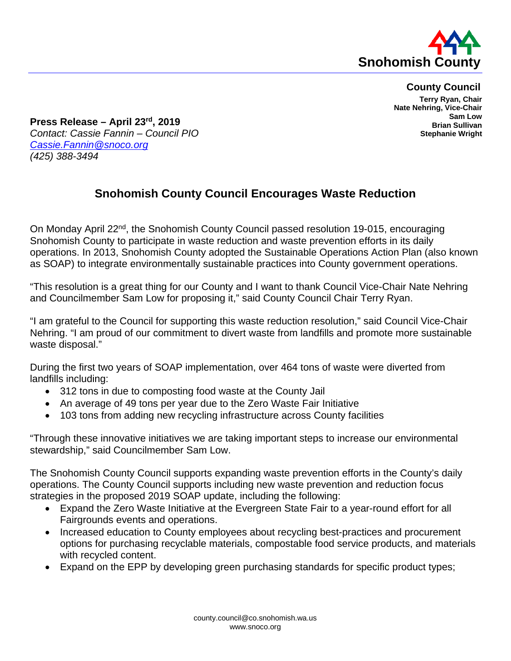

**County Council**

**Terry Ryan, Chair Nate Nehring, Vice-Chair Sam Low Brian Sullivan Stephanie Wright**

**Press Release – April 23rd, 2019** *Contact: Cassie Fannin – Council PIO [Cassie.Fannin@snoco.org](mailto:Cassie.Fannin@snoco.org) (425) 388-3494*

## **Snohomish County Council Encourages Waste Reduction**

On Monday April 22<sup>nd</sup>, the Snohomish County Council passed resolution 19-015, encouraging Snohomish County to participate in waste reduction and waste prevention efforts in its daily operations. In 2013, Snohomish County adopted the Sustainable Operations Action Plan (also known as SOAP) to integrate environmentally sustainable practices into County government operations.

"This resolution is a great thing for our County and I want to thank Council Vice-Chair Nate Nehring and Councilmember Sam Low for proposing it," said County Council Chair Terry Ryan.

"I am grateful to the Council for supporting this waste reduction resolution," said Council Vice-Chair Nehring. "I am proud of our commitment to divert waste from landfills and promote more sustainable waste disposal."

During the first two years of SOAP implementation, over 464 tons of waste were diverted from landfills including:

- 312 tons in due to composting food waste at the County Jail
- An average of 49 tons per year due to the Zero Waste Fair Initiative
- 103 tons from adding new recycling infrastructure across County facilities

"Through these innovative initiatives we are taking important steps to increase our environmental stewardship," said Councilmember Sam Low.

The Snohomish County Council supports expanding waste prevention efforts in the County's daily operations. The County Council supports including new waste prevention and reduction focus strategies in the proposed 2019 SOAP update, including the following:

- Expand the Zero Waste Initiative at the Evergreen State Fair to a year-round effort for all Fairgrounds events and operations.
- Increased education to County employees about recycling best-practices and procurement options for purchasing recyclable materials, compostable food service products, and materials with recycled content.
- Expand on the EPP by developing green purchasing standards for specific product types;